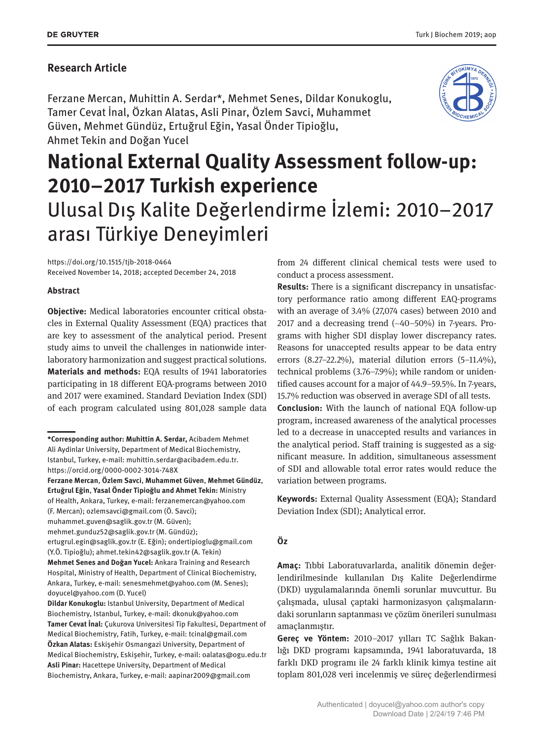#### **Research Article**

Ferzane Mercan, Muhittin A. Serdar\*, Mehmet Senes, Dildar Konukoglu, Tamer Cevat İnal, Özkan Alatas, Asli Pinar, Özlem Savci, Muhammet Güven, Mehmet Gündüz, Ertuğrul Eğin, Yasal Önder Tipioğlu, Ahmet Tekin and Doğan Yucel



# **National External Quality Assessment follow-up: 2010–2017 Turkish experience** Ulusal Dış Kalite Değerlendirme İzlemi: 2010–2017 arası Türkiye Deneyimleri

https://doi.org/10.1515/tjb-2018-0464 Received November 14, 2018; accepted December 24, 2018

#### **Abstract**

**Objective:** Medical laboratories encounter critical obstacles in External Quality Assessment (EQA) practices that are key to assessment of the analytical period. Present study aims to unveil the challenges in nationwide interlaboratory harmonization and suggest practical solutions. **Materials and methods:** EQA results of 1941 laboratories participating in 18 different EQA-programs between 2010 and 2017 were examined. Standard Deviation Index (SDI) of each program calculated using 801,028 sample data

muhammet.guven@saglik.gov.tr (M. Güven);

from 24 different clinical chemical tests were used to conduct a process assessment.

**Results:** There is a significant discrepancy in unsatisfactory performance ratio among different EAQ-programs with an average of 3.4% (27,074 cases) between 2010 and 2017 and a decreasing trend (~40–50%) in 7-years. Programs with higher SDI display lower discrepancy rates. Reasons for unaccepted results appear to be data entry errors (8.27–22.2%), material dilution errors (5–11.4%), technical problems (3.76–7.9%); while random or unidentified causes account for a major of 44.9–59.5%. In 7-years, 15.7% reduction was observed in average SDI of all tests. **Conclusion:** With the launch of national EQA follow-up program, increased awareness of the analytical processes led to a decrease in unaccepted results and variances in the analytical period. Staff training is suggested as a sig-

nificant measure. In addition, simultaneous assessment of SDI and allowable total error rates would reduce the variation between programs.

**Keywords:** External Quality Assessment (EQA); Standard Deviation Index (SDI); Analytical error.

#### **Öz**

**Amaç:** Tıbbi Laboratuvarlarda, analitik dönemin değerlendirilmesinde kullanılan Dış Kalite Değerlendirme (DKD) uygulamalarında önemli sorunlar muvcuttur. Bu çalışmada, ulusal çaptaki harmonizasyon çalışmalarındaki sorunların saptanması ve çözüm önerileri sunulması amaçlanmıştır.

**Gereç ve Yöntem:** 2010–2017 yılları TC Sağlık Bakanlığı DKD programı kapsamında, 1941 laboratuvarda, 18 farklı DKD programı ile 24 farklı klinik kimya testine ait toplam 801,028 veri incelenmiş ve süreç değerlendirmesi

**<sup>\*</sup>Corresponding author: Muhittin A. Serdar,** Acibadem Mehmet Ali Aydinlar University, Department of Medical Biochemistry, Istanbul, Turkey, e-mail: muhittin.serdar@acibadem.edu.tr. https://orcid.org/0000-0002-3014-748X

**Ferzane Mercan**, **Özlem Savci**, **Muhammet Güven**, **Mehmet Gündüz**, **Ertuğrul Eğin**, **Yasal Önder Tipioğlu and Ahmet Tekin:** Ministry of Health, Ankara, Turkey, e-mail: ferzanemercan@yahoo.com (F. Mercan); ozlemsavci@gmail.com (Ö. Savci);

mehmet.gunduz52@saglik.gov.tr (M. Gündüz);

ertugrul.egin@saglik.gov.tr (E. Eğin); ondertipioglu@gmail.com (Y.Ö. Tipioğlu); ahmet.tekin42@saglik.gov.tr (A. Tekin) **Mehmet Senes and Doğan Yucel:** Ankara Training and Research Hospital, Ministry of Health, Department of Clinical Biochemistry, Ankara, Turkey, e-mail: senesmehmet@yahoo.com (M. Senes); doyucel@yahoo.com (D. Yucel)

**Dildar Konukoglu:** Istanbul University, Department of Medical Biochemistry, Istanbul, Turkey, e-mail: dkonuk@yahoo.com **Tamer Cevat İnal:** Çukurova Universitesi Tip Fakultesi, Department of Medical Biochemistry, Fatih, Turkey, e-mail: tcinal@gmail.com **Özkan Alatas:** Eskişehir Osmangazi University, Department of Medical Biochemistry, Eskişehir, Turkey, e-mail: oalatas@ogu.edu.tr **Asli Pinar:** Hacettepe University, Department of Medical Biochemistry, Ankara, Turkey, e-mail: aapinar2009@gmail.com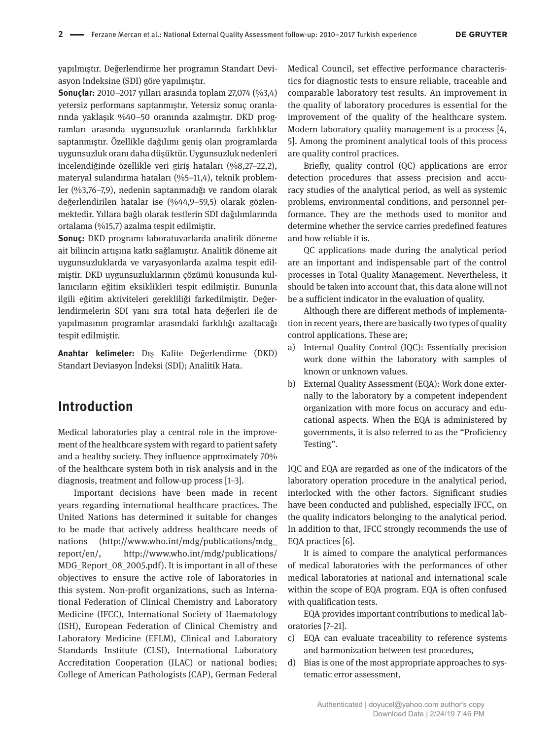yapılmıştır. Değerlendirme her programın Standart Deviasyon Indeksine (SDI) göre yapılmıştır.

**Sonuçlar:** 2010–2017 yılları arasında toplam 27,074 (%3,4) yetersiz performans saptanmıştır. Yetersiz sonuç oranlarında yaklaşık %40–50 oranında azalmıştır. DKD programları arasında uygunsuzluk oranlarında farklılıklar saptanmıştır. Özellikle dağılımı geniş olan programlarda uygunsuzluk oranı daha düşüktür. Uygunsuzluk nedenleri incelendiğinde özellikle veri giriş hataları (%8,27–22,2), materyal sulandırma hataları (%5–11,4), teknik problemler (%3,76–7,9), nedenin saptanmadığı ve random olarak değerlendirilen hatalar ise (%44,9–59,5) olarak gözlenmektedir. Yıllara bağlı olarak testlerin SDI dağılımlarında ortalama (%15,7) azalma tespit edilmiştir.

**Sonuç:** DKD programı laboratuvarlarda analitik döneme ait bilincin artışına katkı sağlamıştır. Analitik döneme ait uygunsuzluklarda ve varyasyonlarda azalma tespit edilmiştir. DKD uygunsuzluklarının çözümü konusunda kullanıcıların eğitim eksiklikleri tespit edilmiştir. Bununla ilgili eğitim aktiviteleri gerekliliği farkedilmiştir. Değerlendirmelerin SDI yanı sıra total hata değerleri ile de yapılmasının programlar arasındaki farklılığı azaltacağı tespit edilmiştir.

**Anahtar kelimeler:** Dış Kalite Değerlendirme (DKD) Standart Deviasyon İndeksi (SDI); Analitik Hata.

## **Introduction**

Medical laboratories play a central role in the improvement of the healthcare system with regard to patient safety and a healthy society. They influence approximately 70% of the healthcare system both in risk analysis and in the diagnosis, treatment and follow-up process [1–3].

Important decisions have been made in recent years regarding international healthcare practices. The United Nations has determined it suitable for changes to be made that actively address healthcare needs of nations (http://www.who.int/mdg/publications/mdg\_ report/en/, http://www.who.int/mdg/publications/ MDG\_Report\_08\_2005.pdf). It is important in all of these objectives to ensure the active role of laboratories in this system. Non-profit organizations, such as International Federation of Clinical Chemistry and Laboratory Medicine (IFCC), International Society of Haematology (ISH), European Federation of Clinical Chemistry and Laboratory Medicine (EFLM), Clinical and Laboratory Standards Institute (CLSI), International Laboratory Accreditation Cooperation (ILAC) or national bodies; College of American Pathologists (CAP), German Federal

Medical Council, set effective performance characteristics for diagnostic tests to ensure reliable, traceable and comparable laboratory test results. An improvement in the quality of laboratory procedures is essential for the improvement of the quality of the healthcare system. Modern laboratory quality management is a process [4, 5]. Among the prominent analytical tools of this process are quality control practices.

Briefly, quality control (QC) applications are error detection procedures that assess precision and accuracy studies of the analytical period, as well as systemic problems, environmental conditions, and personnel performance. They are the methods used to monitor and determine whether the service carries predefined features and how reliable it is.

QC applications made during the analytical period are an important and indispensable part of the control processes in Total Quality Management. Nevertheless, it should be taken into account that, this data alone will not be a sufficient indicator in the evaluation of quality.

Although there are different methods of implementation in recent years, there are basically two types of quality control applications. These are;

- a) Internal Quality Control (IQC): Essentially precision work done within the laboratory with samples of known or unknown values.
- b) External Quality Assessment (EQA): Work done externally to the laboratory by a competent independent organization with more focus on accuracy and educational aspects. When the EQA is administered by governments, it is also referred to as the "Proficiency Testing".

IQC and EQA are regarded as one of the indicators of the laboratory operation procedure in the analytical period, interlocked with the other factors. Significant studies have been conducted and published, especially IFCC, on the quality indicators belonging to the analytical period. In addition to that, IFCC strongly recommends the use of EQA practices [6].

It is aimed to compare the analytical performances of medical laboratories with the performances of other medical laboratories at national and international scale within the scope of EQA program. EQA is often confused with qualification tests.

EQA provides important contributions to medical laboratories [7–21].

- c) EQA can evaluate traceability to reference systems and harmonization between test procedures,
- d) Bias is one of the most appropriate approaches to systematic error assessment,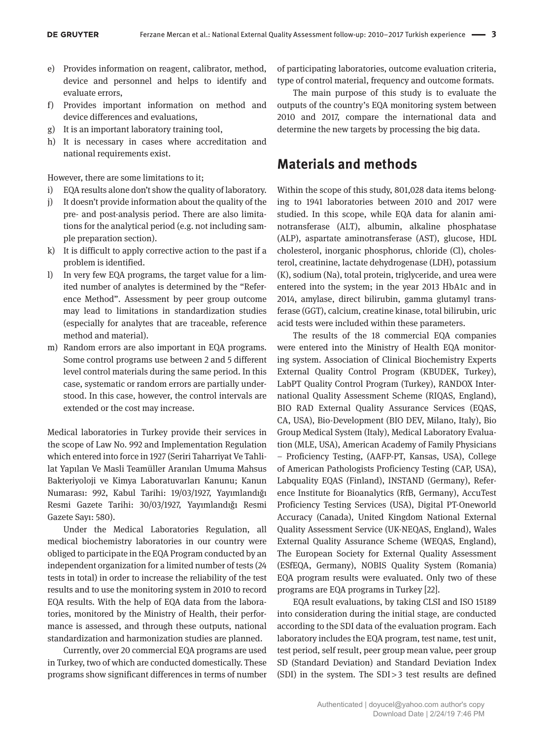- e) Provides information on reagent, calibrator, method, device and personnel and helps to identify and evaluate errors,
- f) Provides important information on method and device differences and evaluations,
- g) It is an important laboratory training tool,
- h) It is necessary in cases where accreditation and national requirements exist.

However, there are some limitations to it;

- i) EQA results alone don't show the quality of laboratory.
- j) It doesn't provide information about the quality of the pre- and post-analysis period. There are also limitations for the analytical period (e.g. not including sample preparation section).
- k) It is difficult to apply corrective action to the past if a problem is identified.
- l) In very few EQA programs, the target value for a limited number of analytes is determined by the "Reference Method". Assessment by peer group outcome may lead to limitations in standardization studies (especially for analytes that are traceable, reference method and material).
- m) Random errors are also important in EQA programs. Some control programs use between 2 and 5 different level control materials during the same period. In this case, systematic or random errors are partially understood. In this case, however, the control intervals are extended or the cost may increase.

Medical laboratories in Turkey provide their services in the scope of Law No. 992 and Implementation Regulation which entered into force in 1927 (Seriri Taharriyat Ve Tahlilat Yapılan Ve Masli Teamüller Aranılan Umuma Mahsus Bakteriyoloji ve Kimya Laboratuvarları Kanunu; Kanun Numarası: 992, Kabul Tarihi: 19/03/1927, Yayımlandığı Resmi Gazete Tarihi: 30/03/1927, Yayımlandığı Resmi Gazete Sayı: 580).

Under the Medical Laboratories Regulation, all medical biochemistry laboratories in our country were obliged to participate in the EQA Program conducted by an independent organization for a limited number of tests (24 tests in total) in order to increase the reliability of the test results and to use the monitoring system in 2010 to record EQA results. With the help of EQA data from the laboratories, monitored by the Ministry of Health, their performance is assessed, and through these outputs, national standardization and harmonization studies are planned.

Currently, over 20 commercial EQA programs are used in Turkey, two of which are conducted domestically. These programs show significant differences in terms of number of participating laboratories, outcome evaluation criteria, type of control material, frequency and outcome formats.

The main purpose of this study is to evaluate the outputs of the country's EQA monitoring system between 2010 and 2017, compare the international data and determine the new targets by processing the big data.

### **Materials and methods**

Within the scope of this study, 801,028 data items belonging to 1941 laboratories between 2010 and 2017 were studied. In this scope, while EQA data for alanin aminotransferase (ALT), albumin, alkaline phosphatase (ALP), aspartate aminotransferase (AST), glucose, HDL cholesterol, inorganic phosphorus, chloride (Cl), cholesterol, creatinine, lactate dehydrogenase (LDH), potassium (K), sodium (Na), total protein, triglyceride, and urea were entered into the system; in the year 2013 HbA1c and in 2014, amylase, direct bilirubin, gamma glutamyl transferase (GGT), calcium, creatine kinase, total bilirubin, uric acid tests were included within these parameters.

The results of the 18 commercial EQA companies were entered into the Ministry of Health EQA monitoring system. Association of Clinical Biochemistry Experts External Quality Control Program (KBUDEK, Turkey), LabPT Quality Control Program (Turkey), RANDOX International Quality Assessment Scheme (RIQAS, England), BIO RAD External Quality Assurance Services (EQAS, CA, USA), Bio-Development (BIO DEV, Milano, Italy), Bio Group Medical System (Italy), Medical Laboratory Evaluation (MLE, USA), American Academy of Family Physicians – Proficiency Testing, (AAFP-PT, Kansas, USA), College of American Pathologists Proficiency Testing (CAP, USA), Labquality EQAS (Finland), INSTAND (Germany), Reference Institute for Bioanalytics (RfB, Germany), AccuTest Proficiency Testing Services (USA), Digital PT-Oneworld Accuracy (Canada), United Kingdom National External Quality Assessment Service (UK-NEQAS, England), Wales External Quality Assurance Scheme (WEQAS, England), The European Society for External Quality Assessment (ESfEQA, Germany), NOBIS Quality System (Romania) EQA program results were evaluated. Only two of these programs are EQA programs in Turkey [22].

EQA result evaluations, by taking CLSI and ISO 15189 into consideration during the initial stage, are conducted according to the SDI data of the evaluation program. Each laboratory includes the EQA program, test name, test unit, test period, self result, peer group mean value, peer group SD (Standard Deviation) and Standard Deviation Index (SDI) in the system. The SDI > 3 test results are defined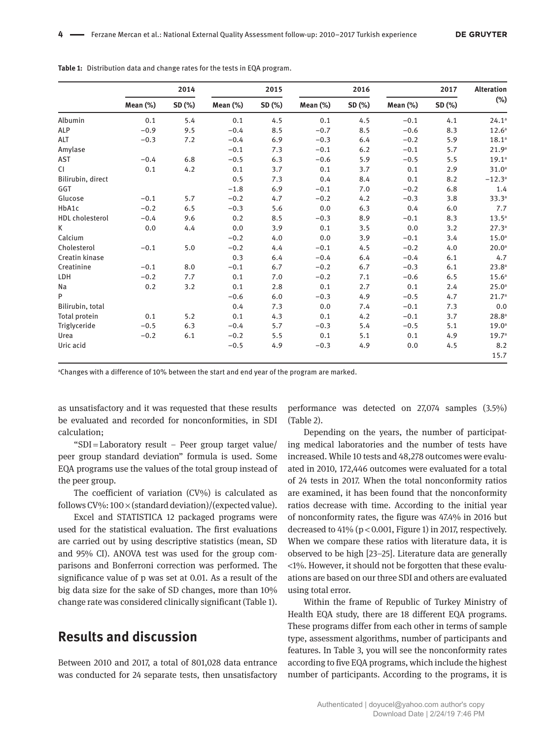|                        |             | 2014   |             | 2015   |             | 2016   |             | 2017   | <b>Alteration</b> |
|------------------------|-------------|--------|-------------|--------|-------------|--------|-------------|--------|-------------------|
|                        | Mean $(\%)$ | SD (%) | Mean $(\%)$ | SD (%) | Mean $(\%)$ | SD (%) | Mean $(\%)$ | SD (%) | $(\%)$            |
| Albumin                | 0.1         | 5.4    | 0.1         | 4.5    | 0.1         | 4.5    | $-0.1$      | 4.1    | 24.1a             |
| <b>ALP</b>             | $-0.9$      | 9.5    | $-0.4$      | 8.5    | $-0.7$      | 8.5    | $-0.6$      | 8.3    | 12.6 <sup>a</sup> |
| ALT                    | $-0.3$      | 7.2    | $-0.4$      | 6.9    | $-0.3$      | 6.4    | $-0.2$      | 5.9    | 18.1 <sup>a</sup> |
| Amylase                |             |        | $-0.1$      | 7.3    | $-0.1$      | 6.2    | $-0.1$      | 5.7    | 21.9 <sup>a</sup> |
| AST                    | $-0.4$      | 6.8    | $-0.5$      | 6.3    | $-0.6$      | 5.9    | $-0.5$      | 5.5    | 19.1 <sup>a</sup> |
| CI.                    | 0.1         | 4.2    | 0.1         | 3.7    | 0.1         | 3.7    | 0.1         | 2.9    | 31.0 <sup>a</sup> |
| Bilirubin, direct      |             |        | 0.5         | 7.3    | 0.4         | 8.4    | 0.1         | 8.2    | $-12.3a$          |
| GGT                    |             |        | $-1.8$      | 6.9    | $-0.1$      | 7.0    | $-0.2$      | 6.8    | 1.4               |
| Glucose                | $-0.1$      | 5.7    | $-0.2$      | 4.7    | $-0.2$      | 4.2    | $-0.3$      | 3.8    | 33.3a             |
| HbA1c                  | $-0.2$      | 6.5    | $-0.3$      | 5.6    | 0.0         | 6.3    | 0.4         | 6.0    | 7.7               |
| <b>HDL</b> cholesterol | $-0.4$      | 9.6    | 0.2         | 8.5    | $-0.3$      | 8.9    | $-0.1$      | 8.3    | $13.5^a$          |
| К                      | 0.0         | 4.4    | 0.0         | 3.9    | 0.1         | 3.5    | 0.0         | 3.2    | 27.3 <sup>a</sup> |
| Calcium                |             |        | $-0.2$      | 4.0    | 0.0         | 3.9    | $-0.1$      | 3.4    | 15.0 <sup>a</sup> |
| Cholesterol            | $-0.1$      | 5.0    | $-0.2$      | 4.4    | $-0.1$      | 4.5    | $-0.2$      | 4.0    | 20.0 <sup>a</sup> |
| Creatin kinase         |             |        | 0.3         | 6.4    | $-0.4$      | 6.4    | $-0.4$      | 6.1    | 4.7               |
| Creatinine             | $-0.1$      | 8.0    | $-0.1$      | 6.7    | $-0.2$      | 6.7    | $-0.3$      | 6.1    | 23.8a             |
| LDH                    | $-0.2$      | 7.7    | 0.1         | 7.0    | $-0.2$      | 7.1    | $-0.6$      | 6.5    | 15.6 <sup>a</sup> |
| Na                     | 0.2         | 3.2    | 0.1         | 2.8    | 0.1         | 2.7    | 0.1         | 2.4    | 25.0 <sup>a</sup> |
| P                      |             |        | $-0.6$      | 6.0    | $-0.3$      | 4.9    | $-0.5$      | 4.7    | 21.7 <sup>a</sup> |
| Bilirubin, total       |             |        | 0.4         | 7.3    | 0.0         | 7.4    | $-0.1$      | 7.3    | 0.0               |
| Total protein          | 0.1         | 5.2    | 0.1         | 4.3    | 0.1         | 4.2    | $-0.1$      | 3.7    | 28.8 <sup>a</sup> |
| Triglyceride           | $-0.5$      | 6.3    | $-0.4$      | 5.7    | $-0.3$      | 5.4    | $-0.5$      | 5.1    | 19.0 <sup>a</sup> |
| Urea                   | $-0.2$      | 6.1    | $-0.2$      | 5.5    | 0.1         | 5.1    | 0.1         | 4.9    | 19.7 <sup>a</sup> |
| Uric acid              |             |        | $-0.5$      | 4.9    | $-0.3$      | 4.9    | 0.0         | 4.5    | 8.2               |
|                        |             |        |             |        |             |        |             |        | 15.7              |

**Table 1:** Distribution data and change rates for the tests in EQA program.

a Changes with a difference of 10% between the start and end year of the program are marked.

as unsatisfactory and it was requested that these results be evaluated and recorded for nonconformities, in SDI calculation;

"SDI = Laboratory result – Peer group target value/ peer group standard deviation" formula is used. Some EQA programs use the values of the total group instead of the peer group.

The coefficient of variation (CV%) is calculated as follows CV%:  $100 \times (standard deviation)/(expected value)$ .

Excel and STATISTICA 12 packaged programs were used for the statistical evaluation. The first evaluations are carried out by using descriptive statistics (mean, SD and 95% CI). ANOVA test was used for the group comparisons and Bonferroni correction was performed. The significance value of p was set at 0.01. As a result of the big data size for the sake of SD changes, more than 10% change rate was considered clinically significant (Table 1).

## **Results and discussion**

Between 2010 and 2017, a total of 801,028 data entrance was conducted for 24 separate tests, then unsatisfactory performance was detected on 27,074 samples (3.5%) (Table 2).

Depending on the years, the number of participating medical laboratories and the number of tests have increased. While 10 tests and 48,278 outcomes were evaluated in 2010, 172,446 outcomes were evaluated for a total of 24 tests in 2017. When the total nonconformity ratios are examined, it has been found that the nonconformity ratios decrease with time. According to the initial year of nonconformity rates, the figure was 47.4% in 2016 but decreased to 41% (p < 0.001, Figure 1) in 2017, respectively. When we compare these ratios with literature data, it is observed to be high [23–25]. Literature data are generally <1%. However, it should not be forgotten that these evaluations are based on our three SDI and others are evaluated using total error.

Within the frame of Republic of Turkey Ministry of Health EQA study, there are 18 different EQA programs. These programs differ from each other in terms of sample type, assessment algorithms, number of participants and features. In Table 3, you will see the nonconformity rates according to five EQA programs, which include the highest number of participants. According to the programs, it is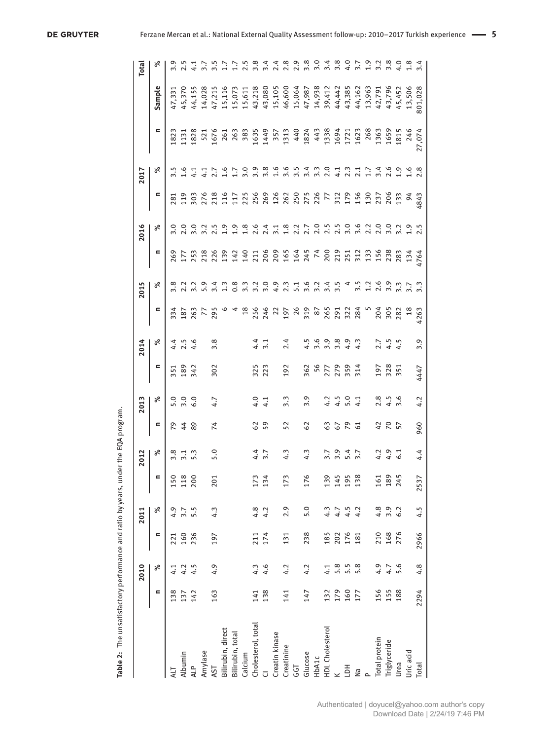|                    |            | 2010 |            | 2011         |      | 2012                          |                 | 2013               |                                                     | 2014                       |                        | 2015                         |                                                                                        | 2016                                                                                   |     | 2017  |   |        | Total            |
|--------------------|------------|------|------------|--------------|------|-------------------------------|-----------------|--------------------|-----------------------------------------------------|----------------------------|------------------------|------------------------------|----------------------------------------------------------------------------------------|----------------------------------------------------------------------------------------|-----|-------|---|--------|------------------|
|                    | Ξ          | ಸ್   | Ξ          | ಸಿ           | Ξ    | ಸಿ                            | Ξ               | ಸಿ                 | =                                                   | ಸಿ                         | $\equiv$               | ళ                            | Ξ                                                                                      | ళ                                                                                      | Ξ   | శ     | Ξ | Sample |                  |
| ЦA                 | 138        |      | 221        | 4.9          | 150  | 3.8                           |                 |                    |                                                     |                            |                        |                              | 269                                                                                    |                                                                                        | 281 | <br>პ |   |        |                  |
| Albumin            | 137        | 4.2  | 160        |              | 118  |                               |                 | 0.00<br>5.00       | 351<br>189<br>342                                   | $4.56$<br>$4.56$           | 334<br>187<br>263      |                              |                                                                                        |                                                                                        |     |       |   |        |                  |
| <b>ALP</b>         | 142        | 4.5  | 236        | $3.7$<br>5.5 | 200  | $\frac{1}{2}$ . $\frac{1}{2}$ |                 |                    |                                                     |                            |                        |                              |                                                                                        |                                                                                        |     |       |   |        |                  |
| Amylase            |            |      |            |              |      |                               |                 |                    |                                                     |                            |                        |                              | 17088821<br>17088921                                                                   |                                                                                        |     |       |   |        |                  |
| AST                | 163        | 4.9  | 197        | 4.3          | 201  | 5.0                           | 74              | 4.7                | 302                                                 | 3.8                        | 295                    |                              |                                                                                        | $\frac{2}{3}$ .5                                                                       |     |       |   |        |                  |
| Bilirubin, direct  |            |      |            |              |      |                               |                 |                    |                                                     |                            |                        | $\frac{4}{3}$                |                                                                                        | $\frac{9}{2}$                                                                          |     |       |   |        |                  |
| Bilirubin, total   |            |      |            |              |      |                               |                 |                    |                                                     |                            |                        |                              |                                                                                        | $\frac{9}{11}$                                                                         |     |       |   |        |                  |
| Calcium            |            |      |            |              |      |                               |                 |                    |                                                     |                            |                        | 0.3<br>2.3                   |                                                                                        | $\frac{8}{1}$                                                                          |     |       |   |        |                  |
| Cholesterol, total | 141        | 4.3  | 211        | 4.8          | 173  |                               | $\mathcal{S}$   |                    |                                                     |                            |                        |                              |                                                                                        |                                                                                        |     |       |   |        |                  |
|                    | 138        | 4.6  | 174        | 4.2          | 134  | 4.7<br>4.7                    | 59              | 4.1                | 325<br>223                                          | $4.\overline{1}$           |                        |                              |                                                                                        |                                                                                        |     |       |   |        |                  |
| Creatin kinase     |            |      |            |              |      |                               |                 |                    |                                                     |                            |                        |                              |                                                                                        |                                                                                        |     |       |   |        |                  |
| Creatinine         | 141        | 4.2  | 131        | 2.9          | 173  | 4.3                           | 52              | $\ddot{3}$         | 192                                                 | 2.4                        |                        |                              |                                                                                        |                                                                                        |     |       |   |        |                  |
| GGT                |            |      |            |              |      |                               |                 |                    |                                                     |                            |                        |                              |                                                                                        |                                                                                        |     |       |   |        |                  |
| Glucose            | 147        | 4.2  | 238        | 5.0          | 176  | 4.3                           | 29              | 3.9                |                                                     |                            |                        |                              |                                                                                        |                                                                                        |     |       |   |        |                  |
| HbA1c              |            |      |            |              |      |                               |                 |                    | 8<br>8<br>8<br>8<br>8<br>8<br>8<br>8<br>8<br>8<br>8 | 4 w w w 4 4<br>4 w w w 4 4 |                        | voownoonan<br>voownoonan     |                                                                                        |                                                                                        |     |       |   |        |                  |
| HDL Cholesterol    |            | 4.1  | 185        | 4.3          | 139  |                               |                 |                    |                                                     |                            |                        |                              |                                                                                        |                                                                                        |     |       |   |        |                  |
|                    | 132<br>179 | 5.8  | 202        | 4.7          | 145  | 7. 9. 4. 7.<br>7. 9. 4. 7.    | 67              | $2.501$<br>$4.501$ |                                                     |                            |                        |                              |                                                                                        |                                                                                        |     |       |   |        |                  |
| 百                  | 160        | 5.5  | 176<br>181 | 4.5          | 195  |                               |                 |                    |                                                     |                            |                        |                              |                                                                                        |                                                                                        |     |       |   |        |                  |
| Na                 | 177        | 5.8  |            | 4.2          | 138  |                               |                 |                    |                                                     |                            |                        |                              |                                                                                        |                                                                                        |     |       |   |        |                  |
| $\Omega$           |            |      |            |              |      |                               |                 |                    |                                                     |                            |                        | 5.2 3 5 5 7.7<br>5.2 3 6 7.7 |                                                                                        |                                                                                        |     |       |   |        |                  |
| Total protein      | 156        | 4.9  |            | 4.8          | 161  |                               | 42              |                    |                                                     |                            |                        |                              |                                                                                        |                                                                                        |     |       |   |        |                  |
| Triglyceride       | 155        | 4.7  | 210<br>168 | 3.9          | 189  | $7.9$ $1.5$                   | <b>PO</b><br>57 | $2.56$<br>$4.56$   | 197<br>325<br>351                                   | $7.5$<br>4.5               |                        |                              |                                                                                        |                                                                                        |     |       |   |        |                  |
| Urea               | 188        | 5.6  | 276        | 6.2          | 245  |                               |                 |                    |                                                     |                            |                        |                              |                                                                                        |                                                                                        |     |       |   |        |                  |
| Uric acid          |            |      |            |              |      |                               |                 |                    |                                                     |                            | $204$<br>$282$<br>$18$ |                              | 4 1 2 2 4 4 4 4 5 6 7 1 7 1 7 1 8 8 7 4 7<br>4 1 2 2 4 4 4 7 4 6 9 1 1 1 1 2 8 8 8 4 4 | e 4 1 2 2 3 4 5 6 7 6 7 7 8 70 70 70 70 70 70 70<br>2 5 7 8 70 70 71 72 73 74 75 76 77 |     |       |   |        | wwww.qw.qww.d.qu |
| Total              | 2294       | 4.8  | 2966       | 4.5          | 2537 | 4.4                           | 960             | 4.2                | 4447                                                | 3.9                        | 1263                   |                              |                                                                                        |                                                                                        |     |       |   |        |                  |

Table 2: The unsatisfactory performance and ratio by years, under the EQA program. **Table 2:** The unsatisfactory performance and ratio by years, under the EQA program.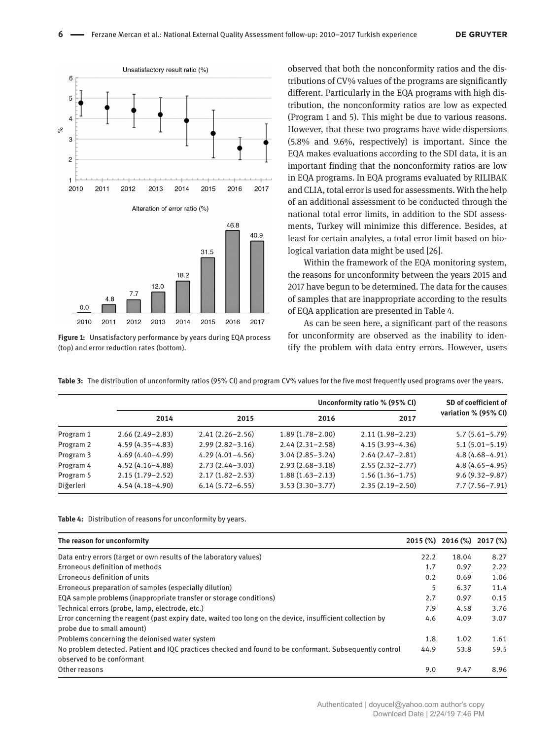

**Figure 1:** Unsatisfactory performance by years during EQA process (top) and error reduction rates (bottom).

observed that both the nonconformity ratios and the distributions of CV% values of the programs are significantly different. Particularly in the EQA programs with high distribution, the nonconformity ratios are low as expected (Program 1 and 5). This might be due to various reasons. However, that these two programs have wide dispersions (5.8% and 9.6%, respectively) is important. Since the EQA makes evaluations according to the SDI data, it is an important finding that the nonconformity ratios are low in EQA programs. In EQA programs evaluated by RILIBAK and CLIA, total error is used for assessments. With the help of an additional assessment to be conducted through the national total error limits, in addition to the SDI assessments, Turkey will minimize this difference. Besides, at least for certain analytes, a total error limit based on biological variation data might be used [26].

Within the framework of the EQA monitoring system, the reasons for unconformity between the years 2015 and 2017 have begun to be determined. The data for the causes of samples that are inappropriate according to the results of EQA application are presented in Table 4.

As can be seen here, a significant part of the reasons for unconformity are observed as the inability to identify the problem with data entry errors. However, users

**Table 3:** The distribution of unconformity ratios (95% CI) and program CV% values for the five most frequently used programs over the years.

|           |                     |                     |                     | Unconformity ratio % (95% CI) | SD of coefficient of |  |
|-----------|---------------------|---------------------|---------------------|-------------------------------|----------------------|--|
|           | 2014                | 2015                | 2016                | 2017                          | variation % (95% CI) |  |
| Program 1 | $2.66(2.49 - 2.83)$ | $2.41(2.26 - 2.56)$ | $1.89(1.78 - 2.00)$ | $2.11(1.98 - 2.23)$           | $5.7(5.61 - 5.79)$   |  |
| Program 2 | $4.59(4.35 - 4.83)$ | $2.99(2.82 - 3.16)$ | $2.44(2.31-2.58)$   | $4.15(3.93 - 4.36)$           | $5.1(5.01 - 5.19)$   |  |
| Program 3 | $4.69(4.40 - 4.99)$ | $4.29(4.01 - 4.56)$ | $3.04(2.85 - 3.24)$ | $2.64(2.47-2.81)$             | $4.8(4.68 - 4.91)$   |  |
| Program 4 | $4.52(4.16 - 4.88)$ | $2.73(2.44 - 3.03)$ | $2.93(2.68 - 3.18)$ | $2.55(2.32 - 2.77)$           | $4.8(4.65 - 4.95)$   |  |
| Program 5 | $2.15(1.79-2.52)$   | $2.17(1.82 - 2.53)$ | $1.88(1.63 - 2.13)$ | $1.56(1.36 - 1.75)$           | $9.6(9.32 - 9.87)$   |  |
| Diğerleri | $4.54(4.18 - 4.90)$ | $6.14(5.72 - 6.55)$ | $3.53(3.30-3.77)$   | $2.35(2.19-2.50)$             | $7.7(7.56 - 7.91)$   |  |

**Table 4:** Distribution of reasons for unconformity by years.

| The reason for unconformity                                                                                                             |      | 2015 (%) 2016 (%) 2017 (%) |      |
|-----------------------------------------------------------------------------------------------------------------------------------------|------|----------------------------|------|
| Data entry errors (target or own results of the laboratory values)                                                                      | 22.2 | 18.04                      | 8.27 |
| Erroneous definition of methods                                                                                                         | 1.7  | 0.97                       | 2.22 |
| Erroneous definition of units                                                                                                           | 0.2  | 0.69                       | 1.06 |
| Erroneous preparation of samples (especially dilution)                                                                                  | 5    | 6.37                       | 11.4 |
| EQA sample problems (inappropriate transfer or storage conditions)                                                                      | 2.7  | 0.97                       | 0.15 |
| Technical errors (probe, lamp, electrode, etc.)                                                                                         | 7.9  | 4.58                       | 3.76 |
| Error concerning the reagent (past expiry date, waited too long on the device, insufficient collection by<br>probe due to small amount) | 4.6  | 4.09                       | 3.07 |
| Problems concerning the deionised water system                                                                                          | 1.8  | 1.02                       | 1.61 |
| No problem detected. Patient and IQC practices checked and found to be conformant. Subsequently control                                 | 44.9 | 53.8                       | 59.5 |
| observed to be conformant                                                                                                               |      |                            |      |
| Other reasons                                                                                                                           | 9.0  | 9.47                       | 8.96 |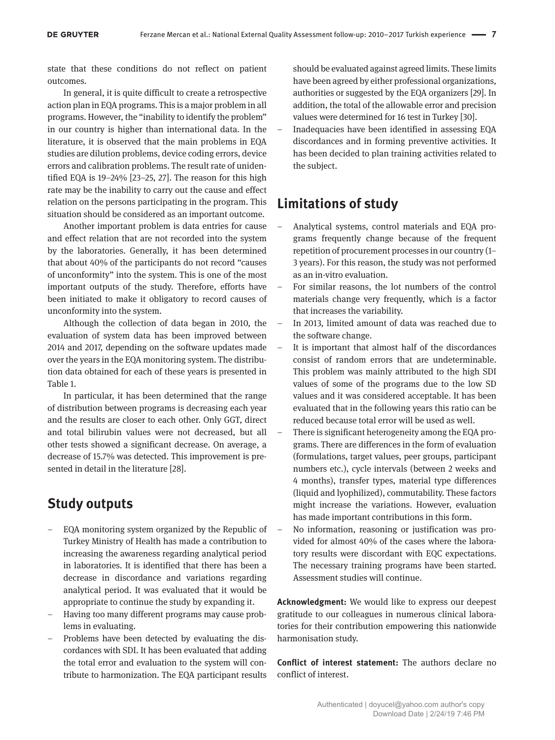state that these conditions do not reflect on patient outcomes.

In general, it is quite difficult to create a retrospective action plan in EQA programs. This is a major problem in all programs. However, the "inability to identify the problem" in our country is higher than international data. In the literature, it is observed that the main problems in EQA studies are dilution problems, device coding errors, device errors and calibration problems. The result rate of unidentified EQA is 19–24% [23–25, 27]. The reason for this high rate may be the inability to carry out the cause and effect relation on the persons participating in the program. This situation should be considered as an important outcome.

Another important problem is data entries for cause and effect relation that are not recorded into the system by the laboratories. Generally, it has been determined that about 40% of the participants do not record "causes of unconformity" into the system. This is one of the most important outputs of the study. Therefore, efforts have been initiated to make it obligatory to record causes of unconformity into the system.

Although the collection of data began in 2010, the evaluation of system data has been improved between 2014 and 2017, depending on the software updates made over the years in the EQA monitoring system. The distribution data obtained for each of these years is presented in Table 1.

In particular, it has been determined that the range of distribution between programs is decreasing each year and the results are closer to each other. Only GGT, direct and total bilirubin values were not decreased, but all other tests showed a significant decrease. On average, a decrease of 15.7% was detected. This improvement is presented in detail in the literature [28].

# **Study outputs**

- EQA monitoring system organized by the Republic of Turkey Ministry of Health has made a contribution to increasing the awareness regarding analytical period in laboratories. It is identified that there has been a decrease in discordance and variations regarding analytical period. It was evaluated that it would be appropriate to continue the study by expanding it.
- Having too many different programs may cause problems in evaluating.
- Problems have been detected by evaluating the discordances with SDI. It has been evaluated that adding the total error and evaluation to the system will contribute to harmonization. The EQA participant results

should be evaluated against agreed limits. These limits have been agreed by either professional organizations, authorities or suggested by the EQA organizers [29]. In addition, the total of the allowable error and precision values were determined for 16 test in Turkey [30].

– Inadequacies have been identified in assessing EQA discordances and in forming preventive activities. It has been decided to plan training activities related to the subject.

# **Limitations of study**

- Analytical systems, control materials and EQA programs frequently change because of the frequent repetition of procurement processes in our country (1– 3 years). For this reason, the study was not performed as an in-vitro evaluation.
- For similar reasons, the lot numbers of the control materials change very frequently, which is a factor that increases the variability.
- In 2013, limited amount of data was reached due to the software change.
- It is important that almost half of the discordances consist of random errors that are undeterminable. This problem was mainly attributed to the high SDI values of some of the programs due to the low SD values and it was considered acceptable. It has been evaluated that in the following years this ratio can be reduced because total error will be used as well.
- There is significant heterogeneity among the EQA programs. There are differences in the form of evaluation (formulations, target values, peer groups, participant numbers etc.), cycle intervals (between 2 weeks and 4 months), transfer types, material type differences (liquid and lyophilized), commutability. These factors might increase the variations. However, evaluation has made important contributions in this form.
- No information, reasoning or justification was provided for almost 40% of the cases where the laboratory results were discordant with EQC expectations. The necessary training programs have been started. Assessment studies will continue.

**Acknowledgment:** We would like to express our deepest gratitude to our colleagues in numerous clinical laboratories for their contribution empowering this nationwide harmonisation study.

**Conflict of interest statement:** The authors declare no conflict of interest.